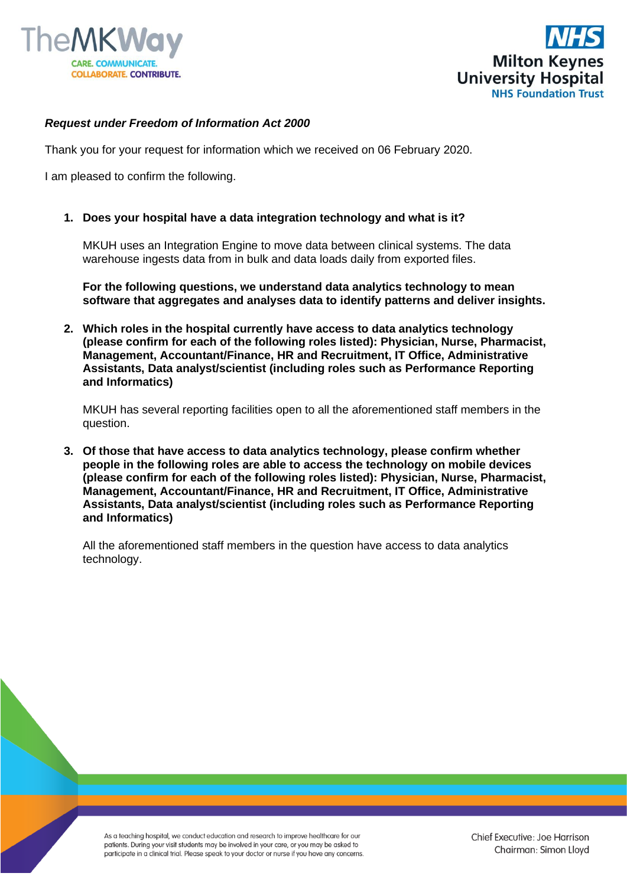



## *Request under Freedom of Information Act 2000*

Thank you for your request for information which we received on 06 February 2020.

I am pleased to confirm the following.

**1. Does your hospital have a data integration technology and what is it?**

MKUH uses an Integration Engine to move data between clinical systems. The data warehouse ingests data from in bulk and data loads daily from exported files.

**For the following questions, we understand data analytics technology to mean software that aggregates and analyses data to identify patterns and deliver insights.**

**2. Which roles in the hospital currently have access to data analytics technology (please confirm for each of the following roles listed): Physician, Nurse, Pharmacist, Management, Accountant/Finance, HR and Recruitment, IT Office, Administrative Assistants, Data analyst/scientist (including roles such as Performance Reporting and Informatics)**

MKUH has several reporting facilities open to all the aforementioned staff members in the question.

**3. Of those that have access to data analytics technology, please confirm whether people in the following roles are able to access the technology on mobile devices (please confirm for each of the following roles listed): Physician, Nurse, Pharmacist, Management, Accountant/Finance, HR and Recruitment, IT Office, Administrative Assistants, Data analyst/scientist (including roles such as Performance Reporting and Informatics)**

All the aforementioned staff members in the question have access to data analytics technology.

As a teaching hospital, we conduct education and research to improve healthcare for our patients. During your visit students may be involved in your care, or you may be asked to participate in a clinical trial. Please speak to your doctor or nurse if you have any concerns.